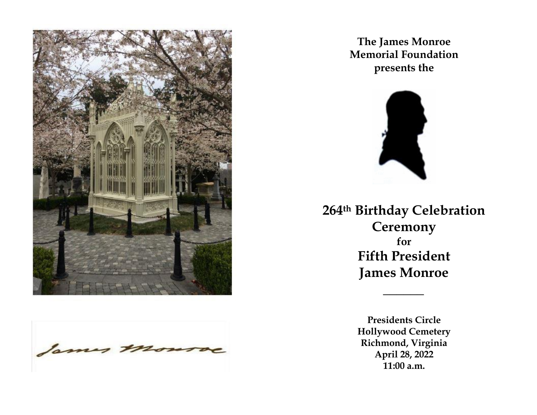

James monroe

**The James Monroe Memorial Foundation presents the**



**264 th Birthday Celebration Ceremony for Fifth President James Monroe**

 $\frac{1}{2}$ 

**Presidents Circle** *Patricia Doyle* **April 28, 2022** *&* **11:00 a.m.***John Tippett* **Hollywood Cemetery Richmond, Virginia**